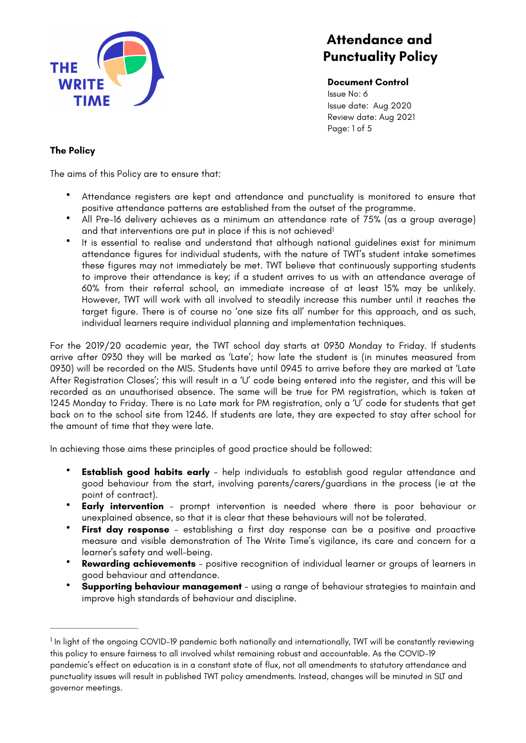

<span id="page-0-1"></span>**Document Control** Issue No: 6 Issue date: Aug 2020 Review date: Aug 2021 Page: 1 of 5

# **The Policy**

The aims of this Policy are to ensure that:

- Attendance registers are kept and attendance and punctuality is monitored to ensure that positive attendance patterns are established from the outset of the programme.
- All Pre-16 delivery achieves as a minimum an attendance rate of 75% (as a group average) and that interventions are put in place if this is not achieved<sup>[1](#page-0-0)</sup>
- It is essential to realise and understand that although national guidelines exist for minimum attendance figures for individual students, with the nature of TWT's student intake sometimes these figures may not immediately be met. TWT believe that continuously supporting students to improve their attendance is key; if a student arrives to us with an attendance average of 60% from their referral school, an immediate increase of at least 15% may be unlikely. However, TWT will work with all involved to steadily increase this number until it reaches the target figure. There is of course no 'one size fits all' number for this approach, and as such, individual learners require individual planning and implementation techniques.

For the 2019/20 academic year, the TWT school day starts at 0930 Monday to Friday. If students arrive after 0930 they will be marked as 'Late'; how late the student is (in minutes measured from 0930) will be recorded on the MIS. Students have until 0945 to arrive before they are marked at 'Late After Registration Closes'; this will result in a 'U' code being entered into the register, and this will be recorded as an unauthorised absence. The same will be true for PM registration, which is taken at 1245 Monday to Friday. There is no Late mark for PM registration, only a 'U' code for students that get back on to the school site from 1246. If students are late, they are expected to stay after school for the amount of time that they were late.

In achieving those aims these principles of good practice should be followed:

- **Establish good habits early** help individuals to establish good regular attendance and good behaviour from the start, involving parents/carers/guardians in the process (ie at the point of contract).
- **Early intervention**  prompt intervention is needed where there is poor behaviour or unexplained absence, so that it is clear that these behaviours will not be tolerated.
- **First day response**  establishing a first day response can be a positive and proactive measure and visible demonstration of The Write Time's vigilance, its care and concern for a learner's safety and well-being.
- **Rewarding achievements**  positive recognition of individual learner or groups of learners in good behaviour and attendance.
- **Supporting behaviour management**  using a range of behaviour strategies to maintain and improve high standards of behaviour and discipline.

<span id="page-0-0"></span><sup>&</sup>lt;sup>1</sup>In light of the ongoing COVID-[1](#page-0-1)9 pandemic both nationally and internationally, TWT will be constantly reviewing this policy to ensure fairness to all involved whilst remaining robust and accountable. As the COVID-19 pandemic's effect on education is in a constant state of flux, not all amendments to statutory attendance and punctuality issues will result in published TWT policy amendments. Instead, changes will be minuted in SLT and governor meetings.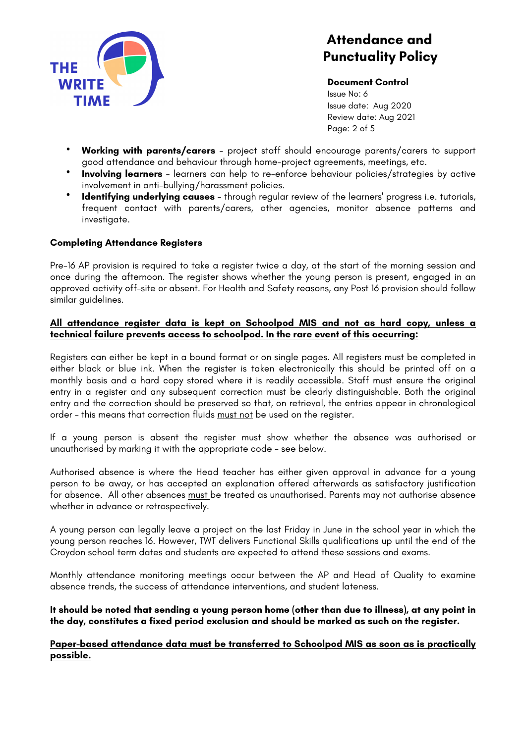

**Document Control** Issue No: 6 Issue date: Aug 2020 Review date: Aug 2021 Page: 2 of 5

- **Working with parents/carers**  project staff should encourage parents/carers to support good attendance and behaviour through home-project agreements, meetings, etc.
- **Involving learners**  learners can help to re-enforce behaviour policies/strategies by active involvement in anti-bullying/harassment policies.
- **Identifying underlying causes**  through regular review of the learners' progress i.e. tutorials, frequent contact with parents/carers, other agencies, monitor absence patterns and investigate.

# **Completing Attendance Registers**

Pre-16 AP provision is required to take a register twice a day, at the start of the morning session and once during the afternoon. The register shows whether the young person is present, engaged in an approved activity off-site or absent. For Health and Safety reasons, any Post 16 provision should follow similar guidelines.

### **All attendance register data is kept on Schoolpod MIS and not as hard copy, unless a technical failure prevents access to schoolpod. In the rare event of this occurring:**

Registers can either be kept in a bound format or on single pages. All registers must be completed in either black or blue ink. When the register is taken electronically this should be printed off on a monthly basis and a hard copy stored where it is readily accessible. Staff must ensure the original entry in a register and any subsequent correction must be clearly distinguishable. Both the original entry and the correction should be preserved so that, on retrieval, the entries appear in chronological order – this means that correction fluids must not be used on the register.

If a young person is absent the register must show whether the absence was authorised or unauthorised by marking it with the appropriate code - see below.

Authorised absence is where the Head teacher has either given approval in advance for a young person to be away, or has accepted an explanation offered afterwards as satisfactory justification for absence. All other absences must be treated as unauthorised. Parents may not authorise absence whether in advance or retrospectively.

A young person can legally leave a project on the last Friday in June in the school year in which the young person reaches 16. However, TWT delivers Functional Skills qualifications up until the end of the Croydon school term dates and students are expected to attend these sessions and exams.

Monthly attendance monitoring meetings occur between the AP and Head of Quality to examine absence trends, the success of attendance interventions, and student lateness.

**It should be noted that sending a young person home (other than due to illness), at any point in the day, constitutes a fixed period exclusion and should be marked as such on the register.** 

**Paper-based attendance data must be transferred to Schoolpod MIS as soon as is practically possible.**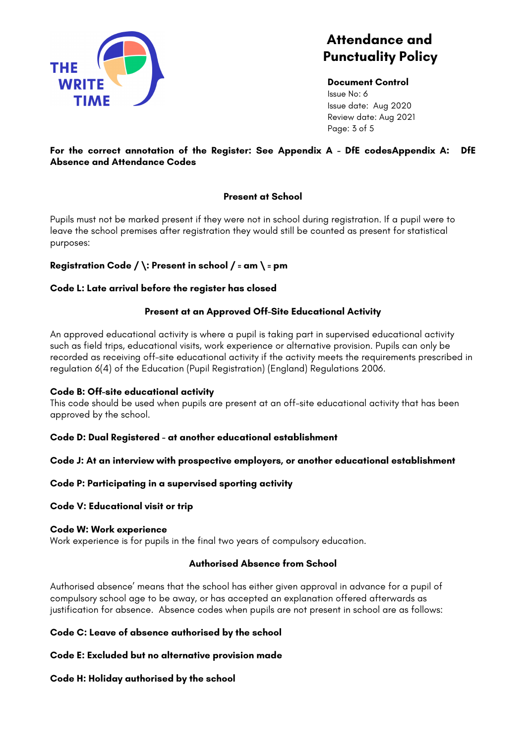

**Document Control** Issue No: 6 Issue date: Aug 2020 Review date: Aug 2021 Page: 3 of 5

# **For the correct annotation of the Register: See Appendix A - DfE codesAppendix A: DfE Absence and Attendance Codes**

# **Present at School**

Pupils must not be marked present if they were not in school during registration. If a pupil were to leave the school premises after registration they would still be counted as present for statistical purposes:

# **Registration Code / \: Present in school / = am \ = pm**

### **Code L: Late arrival before the register has closed**

# **Present at an Approved Off-Site Educational Activity**

An approved educational activity is where a pupil is taking part in supervised educational activity such as field trips, educational visits, work experience or alternative provision. Pupils can only be recorded as receiving off-site educational activity if the activity meets the requirements prescribed in regulation 6(4) of the Education (Pupil Registration) (England) Regulations 2006.

### **Code B: Off-site educational activity**

This code should be used when pupils are present at an off-site educational activity that has been approved by the school.

### **Code D: Dual Registered - at another educational establishment**

### **Code J: At an interview with prospective employers, or another educational establishment**

### **Code P: Participating in a supervised sporting activity**

#### **Code V: Educational visit or trip**

#### **Code W: Work experience**

Work experience is for pupils in the final two years of compulsory education.

### **Authorised Absence from School**

Authorised absence' means that the school has either given approval in advance for a pupil of compulsory school age to be away, or has accepted an explanation offered afterwards as justification for absence. Absence codes when pupils are not present in school are as follows:

### **Code C: Leave of absence authorised by the school**

### **Code E: Excluded but no alternative provision made**

### **Code H: Holiday authorised by the school**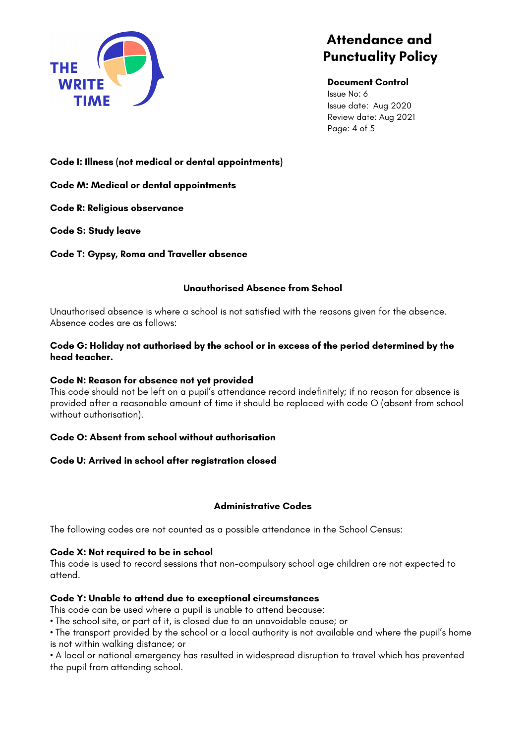

#### **Document Control**

Issue No: 6 Issue date: Aug 2020 Review date: Aug 2021 Page: 4 of 5

**Code I: Illness (not medical or dental appointments)** 

**Code M: Medical or dental appointments** 

**Code R: Religious observance** 

**Code S: Study leave** 

**Code T: Gypsy, Roma and Traveller absence** 

# **Unauthorised Absence from School**

Unauthorised absence is where a school is not satisfied with the reasons given for the absence. Absence codes are as follows:

### **Code G: Holiday not authorised by the school or in excess of the period determined by the head teacher.**

### **Code N: Reason for absence not yet provided**

This code should not be left on a pupil's attendance record indefinitely; if no reason for absence is provided after a reasonable amount of time it should be replaced with code O (absent from school without authorisation).

### **Code O: Absent from school without authorisation**

### **Code U: Arrived in school after registration closed**

### **Administrative Codes**

The following codes are not counted as a possible attendance in the School Census:

### **Code X: Not required to be in school**

This code is used to record sessions that non-compulsory school age children are not expected to attend.

### **Code Y: Unable to attend due to exceptional circumstances**

This code can be used where a pupil is unable to attend because:

• The school site, or part of it, is closed due to an unavoidable cause; or

• The transport provided by the school or a local authority is not available and where the pupil's home is not within walking distance; or

• A local or national emergency has resulted in widespread disruption to travel which has prevented the pupil from attending school.